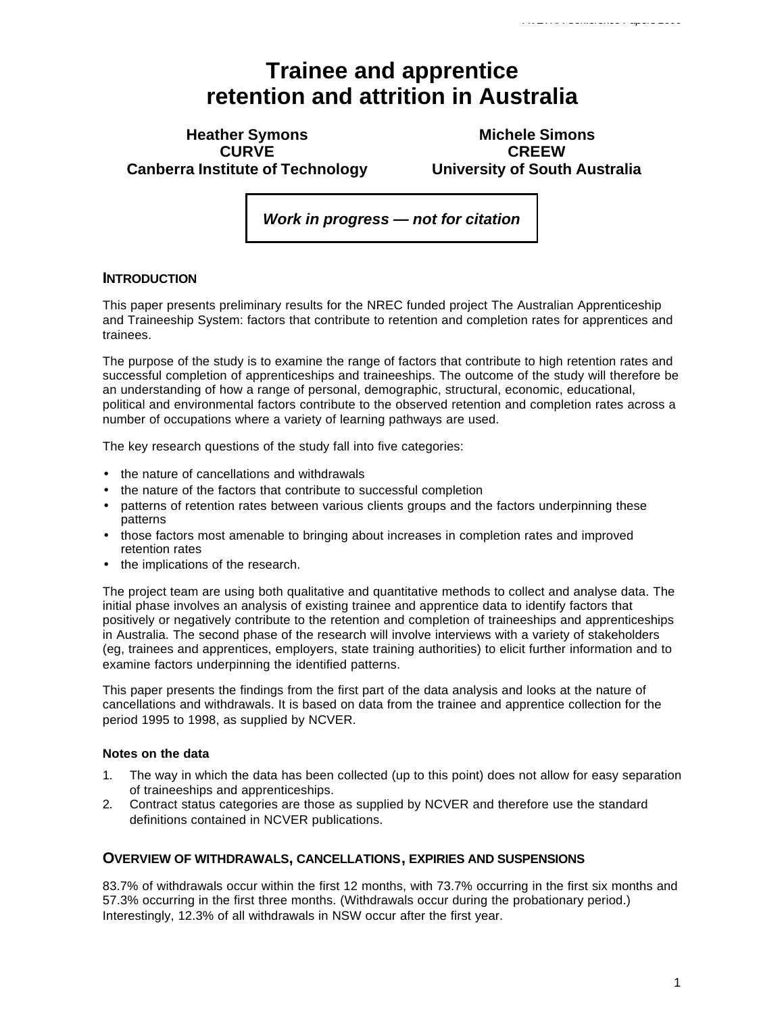# **Trainee and apprentice retention and attrition in Australia**

# **Heather Symons CURVE Canberra Institute of Technology**

**Michele Simons CREEW University of South Australia**

*Work in progress — not for citation*

## **INTRODUCTION**

This paper presents preliminary results for the NREC funded project The Australian Apprenticeship and Traineeship System: factors that contribute to retention and completion rates for apprentices and trainees.

The purpose of the study is to examine the range of factors that contribute to high retention rates and successful completion of apprenticeships and traineeships. The outcome of the study will therefore be an understanding of how a range of personal, demographic, structural, economic, educational, political and environmental factors contribute to the observed retention and completion rates across a number of occupations where a variety of learning pathways are used.

The key research questions of the study fall into five categories:

- the nature of cancellations and withdrawals
- the nature of the factors that contribute to successful completion
- patterns of retention rates between various clients groups and the factors underpinning these patterns
- those factors most amenable to bringing about increases in completion rates and improved retention rates
- the implications of the research.

The project team are using both qualitative and quantitative methods to collect and analyse data. The initial phase involves an analysis of existing trainee and apprentice data to identify factors that positively or negatively contribute to the retention and completion of traineeships and apprenticeships in Australia. The second phase of the research will involve interviews with a variety of stakeholders (eg, trainees and apprentices, employers, state training authorities) to elicit further information and to examine factors underpinning the identified patterns.

This paper presents the findings from the first part of the data analysis and looks at the nature of cancellations and withdrawals. It is based on data from the trainee and apprentice collection for the period 1995 to 1998, as supplied by NCVER.

#### **Notes on the data**

- 1. The way in which the data has been collected (up to this point) does not allow for easy separation of traineeships and apprenticeships.
- 2. Contract status categories are those as supplied by NCVER and therefore use the standard definitions contained in NCVER publications.

#### **OVERVIEW OF WITHDRAWALS, CANCELLATIONS, EXPIRIES AND SUSPENSIONS**

83.7% of withdrawals occur within the first 12 months, with 73.7% occurring in the first six months and 57.3% occurring in the first three months. (Withdrawals occur during the probationary period.) Interestingly, 12.3% of all withdrawals in NSW occur after the first year.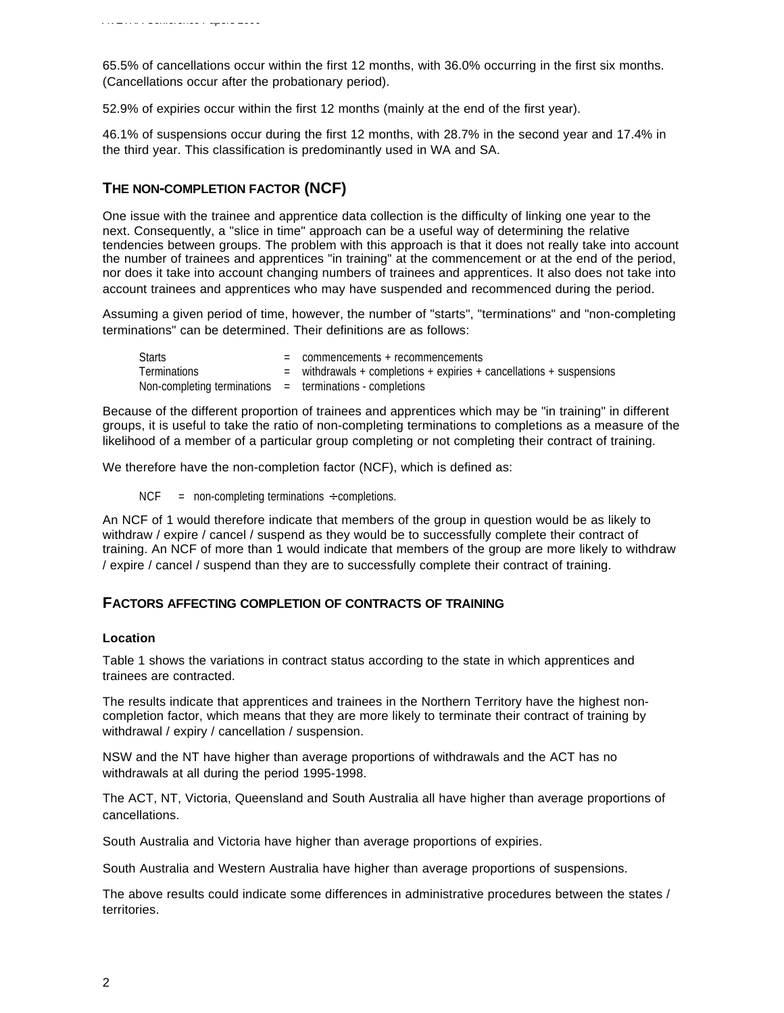65.5% of cancellations occur within the first 12 months, with 36.0% occurring in the first six months. (Cancellations occur after the probationary period).

52.9% of expiries occur within the first 12 months (mainly at the end of the first year).

46.1% of suspensions occur during the first 12 months, with 28.7% in the second year and 17.4% in the third year. This classification is predominantly used in WA and SA.

# **THE NON-COMPLETION FACTOR (NCF)**

One issue with the trainee and apprentice data collection is the difficulty of linking one year to the next. Consequently, a "slice in time" approach can be a useful way of determining the relative tendencies between groups. The problem with this approach is that it does not really take into account the number of trainees and apprentices "in training" at the commencement or at the end of the period, nor does it take into account changing numbers of trainees and apprentices. It also does not take into account trainees and apprentices who may have suspended and recommenced during the period.

Assuming a given period of time, however, the number of "starts", "terminations" and "non-completing terminations" can be determined. Their definitions are as follows:

| <b>Starts</b>                                              | $=$ commencements $+$ recommencements                                  |
|------------------------------------------------------------|------------------------------------------------------------------------|
| <b>Terminations</b>                                        | $=$ withdrawals + completions + expiries + cancellations + suspensions |
| Non-completing terminations $=$ terminations - completions |                                                                        |

Because of the different proportion of trainees and apprentices which may be "in training" in different groups, it is useful to take the ratio of non-completing terminations to completions as a measure of the likelihood of a member of a particular group completing or not completing their contract of training.

We therefore have the non-completion factor (NCF), which is defined as:

 $NCF = non-completing terminations \div complations.$ 

An NCF of 1 would therefore indicate that members of the group in question would be as likely to withdraw / expire / cancel / suspend as they would be to successfully complete their contract of training. An NCF of more than 1 would indicate that members of the group are more likely to withdraw / expire / cancel / suspend than they are to successfully complete their contract of training.

## **FACTORS AFFECTING COMPLETION OF CONTRACTS OF TRAINING**

#### **Location**

Table 1 shows the variations in contract status according to the state in which apprentices and trainees are contracted.

The results indicate that apprentices and trainees in the Northern Territory have the highest noncompletion factor, which means that they are more likely to terminate their contract of training by withdrawal / expiry / cancellation / suspension.

NSW and the NT have higher than average proportions of withdrawals and the ACT has no withdrawals at all during the period 1995-1998.

The ACT, NT, Victoria, Queensland and South Australia all have higher than average proportions of cancellations.

South Australia and Victoria have higher than average proportions of expiries.

South Australia and Western Australia have higher than average proportions of suspensions.

The above results could indicate some differences in administrative procedures between the states / territories.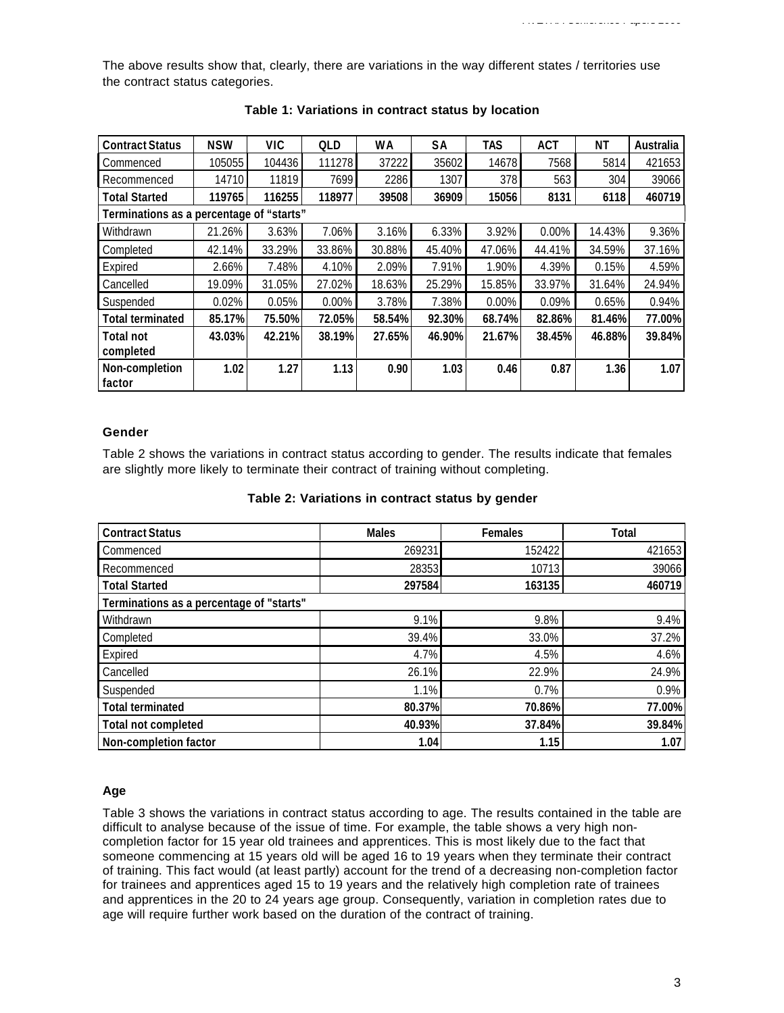The above results show that, clearly, there are variations in the way different states / territories use the contract status categories.

| <b>Contract Status</b>                   | <b>NSW</b> | <b>VIC</b> | QLD    | <b>WA</b> | <b>SA</b> | <b>TAS</b> | <b>ACT</b> | ΝT     | Australia |
|------------------------------------------|------------|------------|--------|-----------|-----------|------------|------------|--------|-----------|
| Commenced                                | 105055     | 104436     | 111278 | 37222     | 35602     | 14678      | 7568       | 5814   | 421653    |
| Recommenced                              | 14710      | 11819      | 7699   | 2286      | 1307      | 378        | 563        | 304    | 39066     |
| <b>Total Started</b>                     | 119765     | 116255     | 118977 | 39508     | 36909     | 15056      | 8131       | 6118   | 460719    |
| Terminations as a percentage of "starts" |            |            |        |           |           |            |            |        |           |
| Withdrawn                                | 21.26%     | 3.63%      | 7.06%  | 3.16%     | 6.33%     | 3.92%      | 0.00%      | 14.43% | 9.36%     |
| Completed                                | 42.14%     | 33.29%     | 33.86% | 30.88%    | 45.40%    | 47.06%     | 44.41%     | 34.59% | 37.16%    |
| Expired                                  | 2.66%      | 7.48%      | 4.10%  | 2.09%     | 7.91%     | 1.90%      | 4.39%      | 0.15%  | 4.59%     |
| Cancelled                                | 19.09%     | 31.05%     | 27.02% | 18.63%    | 25.29%    | 15.85%     | 33.97%     | 31.64% | 24.94%    |
| Suspended                                | 0.02%      | 0.05%      | 0.00%  | 3.78%     | 7.38%     | 0.00%      | 0.09%      | 0.65%  | 0.94%     |
| <b>Total terminated</b>                  | 85.17%     | 75.50%     | 72.05% | 58.54%    | 92.30%    | 68.74%     | 82.86%     | 81.46% | 77.00%    |
| <b>Total not</b>                         | 43.03%     | 42.21%     | 38.19% | 27.65%    | 46.90%    | 21.67%     | 38.45%     | 46.88% | 39.84%    |
| completed                                |            |            |        |           |           |            |            |        |           |
| Non-completion                           | 1.02       | 1.27       | 1.13   | 0.90      | 1.03      | 0.46       | 0.87       | 1.36   | 1.07      |
| factor                                   |            |            |        |           |           |            |            |        |           |

| Table 1: Variations in contract status by location |  |  |  |
|----------------------------------------------------|--|--|--|
|                                                    |  |  |  |

#### **Gender**

Table 2 shows the variations in contract status according to gender. The results indicate that females are slightly more likely to terminate their contract of training without completing.

| <b>Contract Status</b>                   | <b>Males</b> | <b>Females</b> | Total  |
|------------------------------------------|--------------|----------------|--------|
| Commenced                                | 269231       | 152422         | 421653 |
| Recommenced                              | 28353        | 10713          | 39066  |
| <b>Total Started</b>                     | 297584       | 163135         | 460719 |
| Terminations as a percentage of "starts" |              |                |        |
| Withdrawn                                | 9.1%         | 9.8%           | 9.4%   |
| Completed                                | 39.4%        | 33.0%          | 37.2%  |
| Expired                                  | 4.7%         | 4.5%           | 4.6%   |
| Cancelled                                | 26.1%        | 22.9%          | 24.9%  |
| Suspended                                | 1.1%         | 0.7%           | 0.9%   |
| <b>Total terminated</b>                  | 80.37%       | 70.86%         | 77.00% |
| <b>Total not completed</b>               | 40.93%       | 37.84%         | 39.84% |
| Non-completion factor                    | 1.04         | 1.15           | 1.07   |

#### **Table 2: Variations in contract status by gender**

## **Age**

Table 3 shows the variations in contract status according to age. The results contained in the table are difficult to analyse because of the issue of time. For example, the table shows a very high noncompletion factor for 15 year old trainees and apprentices. This is most likely due to the fact that someone commencing at 15 years old will be aged 16 to 19 years when they terminate their contract of training. This fact would (at least partly) account for the trend of a decreasing non-completion factor for trainees and apprentices aged 15 to 19 years and the relatively high completion rate of trainees and apprentices in the 20 to 24 years age group. Consequently, variation in completion rates due to age will require further work based on the duration of the contract of training.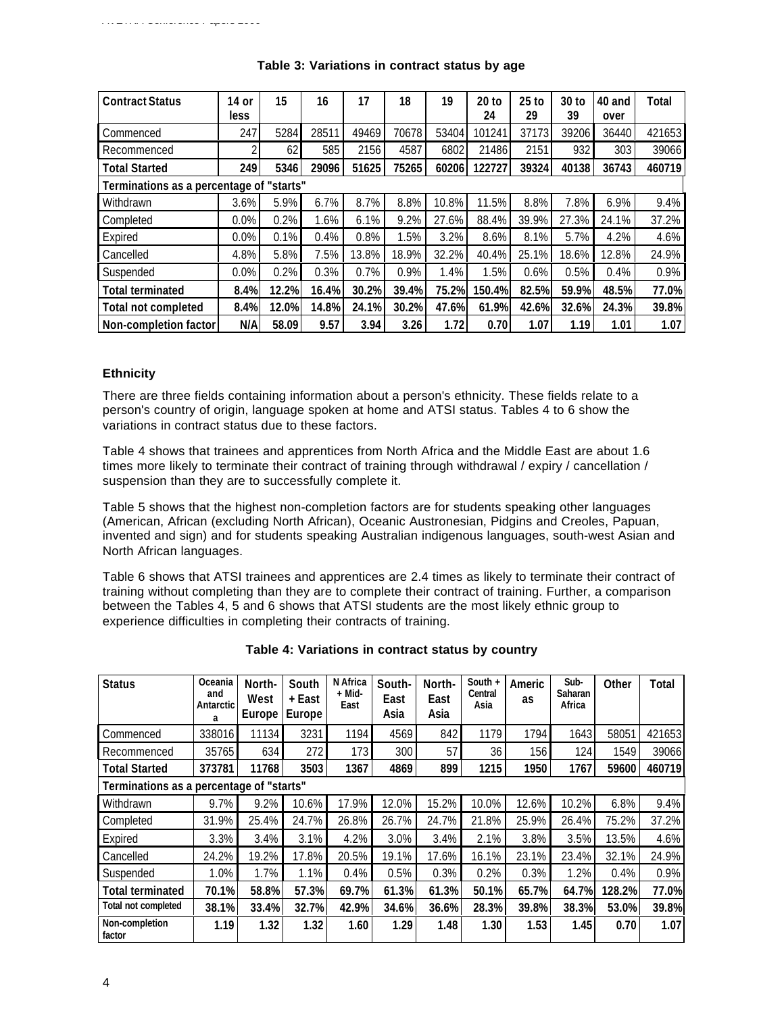| <b>Contract Status</b>                   | 14 or<br><b>less</b> | 15    | 16    | 17    | 18    | 19    | 20 to<br>24 | 25 to<br>29 | 30 to<br>39 | 40 and<br>over | Total  |
|------------------------------------------|----------------------|-------|-------|-------|-------|-------|-------------|-------------|-------------|----------------|--------|
| Commenced                                | 247                  | 5284  | 28511 | 49469 | 70678 | 53404 | 101241      | 37173       | 39206       | 36440          | 421653 |
| Recommenced                              | າ                    | 62    | 585   | 2156  | 4587  | 6802  | 21486       | 2151        | 932         | 303            | 39066  |
| <b>Total Started</b>                     | 249                  | 5346  | 29096 | 51625 | 75265 | 60206 | 122727      | 39324       | 40138       | 36743          | 460719 |
| Terminations as a percentage of "starts" |                      |       |       |       |       |       |             |             |             |                |        |
| Withdrawn                                | 3.6%                 | 5.9%  | 6.7%  | 8.7%  | 8.8%  | 10.8% | 11.5%       | 8.8%        | 7.8%        | 6.9%           | 9.4%   |
| Completed                                | 0.0%                 | 0.2%  | 1.6%  | 6.1%  | 9.2%  | 27.6% | 88.4%       | 39.9%       | 27.3%       | 24.1%          | 37.2%  |
| Expired                                  | 0.0%                 | 0.1%  | 0.4%  | 0.8%  | 1.5%  | 3.2%  | 8.6%        | 8.1%        | 5.7%        | 4.2%           | 4.6%   |
| Cancelled                                | 4.8%                 | 5.8%  | 7.5%  | 13.8% | 18.9% | 32.2% | 40.4%       | 25.1%       | 18.6%       | 12.8%          | 24.9%  |
| Suspended                                | 0.0%                 | 0.2%  | 0.3%  | 0.7%  | 0.9%  | 1.4%  | 1.5%        | 0.6%        | 0.5%        | 0.4%           | 0.9%   |
| <b>Total terminated</b>                  | 8.4%                 | 12.2% | 16.4% | 30.2% | 39.4% | 75.2% | 150.4%      | 82.5%       | 59.9%       | 48.5%          | 77.0%  |
| <b>Total not completed</b>               | 8.4%                 | 12.0% | 14.8% | 24.1% | 30.2% | 47.6% | 61.9%       | 42.6%       | 32.6%       | 24.3%          | 39.8%  |
| Non-completion factor                    | N/A                  | 58.09 | 9.57  | 3.94  | 3.26  | 1.72  | 0.70        | 1.07        | 1.19        | 1.01           | 1.07   |

#### **Table 3: Variations in contract status by age**

## **Ethnicity**

There are three fields containing information about a person's ethnicity. These fields relate to a person's country of origin, language spoken at home and ATSI status. Tables 4 to 6 show the variations in contract status due to these factors.

Table 4 shows that trainees and apprentices from North Africa and the Middle East are about 1.6 times more likely to terminate their contract of training through withdrawal / expiry / cancellation / suspension than they are to successfully complete it.

Table 5 shows that the highest non-completion factors are for students speaking other languages (American, African (excluding North African), Oceanic Austronesian, Pidgins and Creoles, Papuan, invented and sign) and for students speaking Australian indigenous languages, south-west Asian and North African languages.

Table 6 shows that ATSI trainees and apprentices are 2.4 times as likely to terminate their contract of training without completing than they are to complete their contract of training. Further, a comparison between the Tables 4, 5 and 6 shows that ATSI students are the most likely ethnic group to experience difficulties in completing their contracts of training.

| <b>Status</b>                            | Oceania<br>and<br><b>Antarctic</b><br>a | North-<br>West<br>Europe | South<br>+ East<br>Europe | N Africa<br>+ Mid-<br>East | South-<br>East<br>Asia | North-<br>East<br>Asia | South $+$<br>Central<br>Asia | Americ<br>as | Sub-<br>Saharan<br>Africa | Other  | Total  |
|------------------------------------------|-----------------------------------------|--------------------------|---------------------------|----------------------------|------------------------|------------------------|------------------------------|--------------|---------------------------|--------|--------|
| Commenced                                | 338016                                  | 11134                    | 3231                      | 1194                       | 4569                   | 842                    | 1179                         | 1794         | 1643                      | 58051  | 421653 |
| Recommenced                              | 35765                                   | 634                      | 272                       | 173                        | 300                    | 57                     | 36                           | 156          | 124                       | 1549   | 39066  |
| <b>Total Started</b>                     | 373781                                  | 11768                    | 3503                      | 1367                       | 4869                   | 899                    | 1215                         | 1950         | 1767                      | 59600  | 460719 |
| Terminations as a percentage of "starts" |                                         |                          |                           |                            |                        |                        |                              |              |                           |        |        |
| Withdrawn                                | 9.7%                                    | 9.2%                     | 10.6%                     | 17.9%                      | 12.0%                  | 15.2%                  | 10.0%                        | 12.6%        | 10.2%                     | 6.8%   | 9.4%   |
| Completed                                | 31.9%                                   | 25.4%                    | 24.7%                     | 26.8%                      | 26.7%                  | 24.7%                  | 21.8%                        | 25.9%        | 26.4%                     | 75.2%  | 37.2%  |
| Expired                                  | 3.3%                                    | 3.4%                     | 3.1%                      | 4.2%                       | 3.0%                   | 3.4%                   | 2.1%                         | 3.8%         | 3.5%                      | 13.5%  | 4.6%   |
| Cancelled                                | 24.2%                                   | 19.2%                    | 17.8%                     | 20.5%                      | 19.1%                  | 17.6%                  | 16.1%                        | 23.1%        | 23.4%                     | 32.1%  | 24.9%  |
| Suspended                                | 1.0%                                    | 1.7%                     | 1.1%                      | 0.4%                       | 0.5%                   | 0.3%                   | 0.2%                         | 0.3%         | 1.2%                      | 0.4%   | 0.9%   |
| <b>Total terminated</b>                  | 70.1%                                   | 58.8%                    | 57.3%                     | 69.7%                      | 61.3%                  | 61.3%                  | 50.1%                        | 65.7%        | 64.7%                     | 128.2% | 77.0%  |
| Total not completed                      | 38.1%                                   | 33.4%                    | 32.7%                     | 42.9%                      | 34.6%                  | 36.6%                  | 28.3%                        | 39.8%        | 38.3%                     | 53.0%  | 39.8%  |
| Non-completion<br>factor                 | 1.19                                    | 1.32                     | 1.32                      | 1.60                       | 1.29                   | 1.48                   | 1.30                         | 1.53         | 1.45                      | 0.70   | 1.07   |

#### **Table 4: Variations in contract status by country**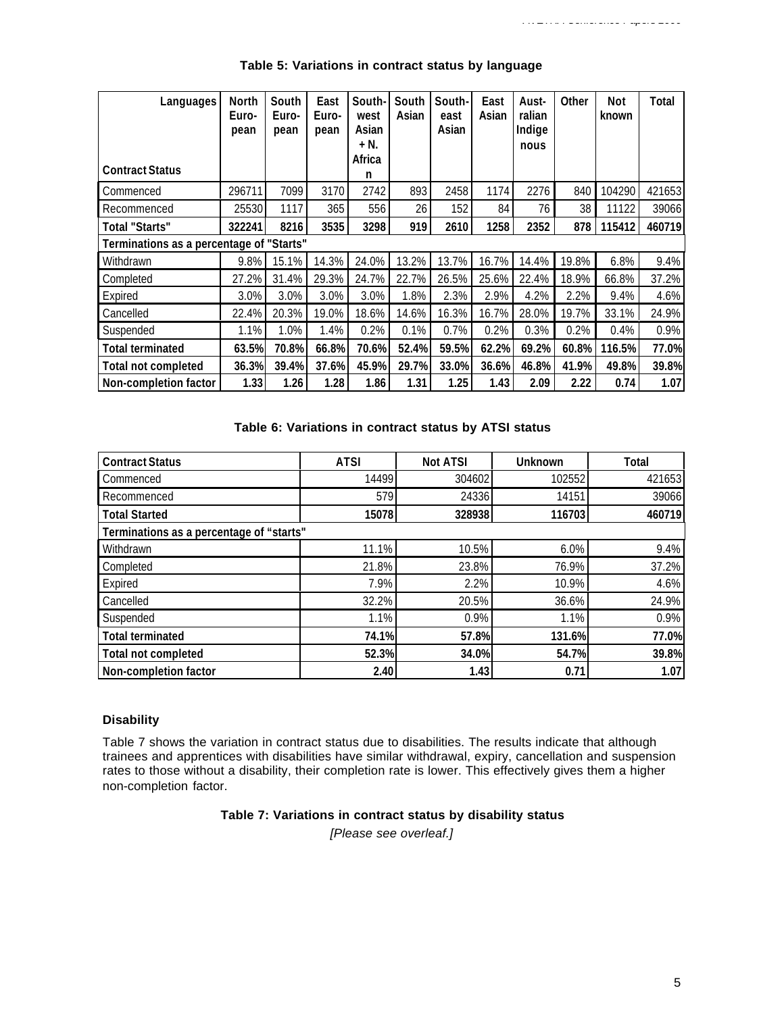| Languages<br><b>Contract Status</b>      | <b>North</b><br>Euro-<br>pean | South<br>Euro-<br>pean | East<br>Euro-<br>pean | South-<br>west<br>Asian<br>$+$ N.<br>Africa<br>n | South<br>Asian | South-<br>east<br>Asian | East<br>Asian | Aust-<br>ralian<br>Indige<br>nous | Other | Not<br>known | Total  |
|------------------------------------------|-------------------------------|------------------------|-----------------------|--------------------------------------------------|----------------|-------------------------|---------------|-----------------------------------|-------|--------------|--------|
| Commenced                                | 296711                        | 7099                   | 3170                  | 2742                                             | 893            | 2458                    | 1174          | 2276                              | 840   | 104290       | 421653 |
| Recommenced                              | 25530                         | 1117                   | 365                   | 556                                              | 26             | 152                     | 84            | 76                                | 38    | 11122        | 39066  |
| Total "Starts"                           | 322241                        | 8216                   | 3535                  | 3298                                             | 919            | 2610                    | 1258          | 2352                              | 878   | 115412       | 460719 |
| Terminations as a percentage of "Starts" |                               |                        |                       |                                                  |                |                         |               |                                   |       |              |        |
| Withdrawn                                | 9.8%                          | 15.1%                  | 14.3%                 | 24.0%                                            | 13.2%          | 13.7%                   | 16.7%         | 14.4%                             | 19.8% | 6.8%         | 9.4%   |
| Completed                                | 27.2%                         | 31.4%                  | 29.3%                 | 24.7%                                            | 22.7%          | 26.5%                   | 25.6%         | 22.4%                             | 18.9% | 66.8%        | 37.2%  |
| Expired                                  | 3.0%                          | 3.0%                   | 3.0%                  | 3.0%                                             | 1.8%           | 2.3%                    | 2.9%          | 4.2%                              | 2.2%  | 9.4%         | 4.6%   |
| Cancelled                                | 22.4%                         | 20.3%                  | 19.0%                 | 18.6%                                            | 14.6%          | 16.3%                   | 16.7%         | 28.0%                             | 19.7% | 33.1%        | 24.9%  |
| Suspended                                | 1.1%                          | 1.0%                   | 1.4%                  | 0.2%                                             | 0.1%           | 0.7%                    | 0.2%          | 0.3%                              | 0.2%  | 0.4%         | 0.9%   |
| <b>Total terminated</b>                  | 63.5%                         | 70.8%                  | 66.8%                 | 70.6%                                            | 52.4%          | 59.5%                   | 62.2%         | 69.2%                             | 60.8% | 116.5%       | 77.0%  |
| <b>Total not completed</b>               | 36.3%                         | 39.4%                  | 37.6%                 | 45.9%                                            | 29.7%          | 33.0%                   | 36.6%         | 46.8%                             | 41.9% | 49.8%        | 39.8%  |
| Non-completion factor                    | 1.33                          | 1.26                   | 1.28                  | 1.86                                             | 1.31           | 1.25                    | 1.43          | 2.09                              | 2.22  | 0.74         | 1.07   |

## **Table 5: Variations in contract status by language**

#### **Table 6: Variations in contract status by ATSI status**

| <b>Contract Status</b>                   | <b>ATSI</b> | <b>Not ATSI</b> | <b>Unknown</b> | Total  |
|------------------------------------------|-------------|-----------------|----------------|--------|
| Commenced                                | 14499       | 304602          | 102552         | 421653 |
| Recommenced                              | 579         | 24336           | 14151          | 39066  |
| <b>Total Started</b>                     | 15078       | 328938          | 116703         | 460719 |
| Terminations as a percentage of "starts" |             |                 |                |        |
| Withdrawn                                | 11.1%       | 10.5%           | 6.0%           | 9.4%   |
| Completed                                | 21.8%       | 23.8%           | 76.9%          | 37.2%  |
| Expired                                  | 7.9%        | 2.2%            | 10.9%          | 4.6%   |
| Cancelled                                | 32.2%       | 20.5%           | 36.6%          | 24.9%  |
| Suspended                                | 1.1%        | 0.9%            | 1.1%           | 0.9%   |
| <b>Total terminated</b>                  | 74.1%       | 57.8%           | 131.6%         | 77.0%  |
| <b>Total not completed</b>               | 52.3%       | 34.0%           | 54.7%          | 39.8%  |
| Non-completion factor                    | 2.40        | 1.43            | 0.71           | 1.07   |

## **Disability**

Table 7 shows the variation in contract status due to disabilities. The results indicate that although trainees and apprentices with disabilities have similar withdrawal, expiry, cancellation and suspension rates to those without a disability, their completion rate is lower. This effectively gives them a higher non-completion factor.

#### **Table 7: Variations in contract status by disability status**

*[Please see overleaf.]*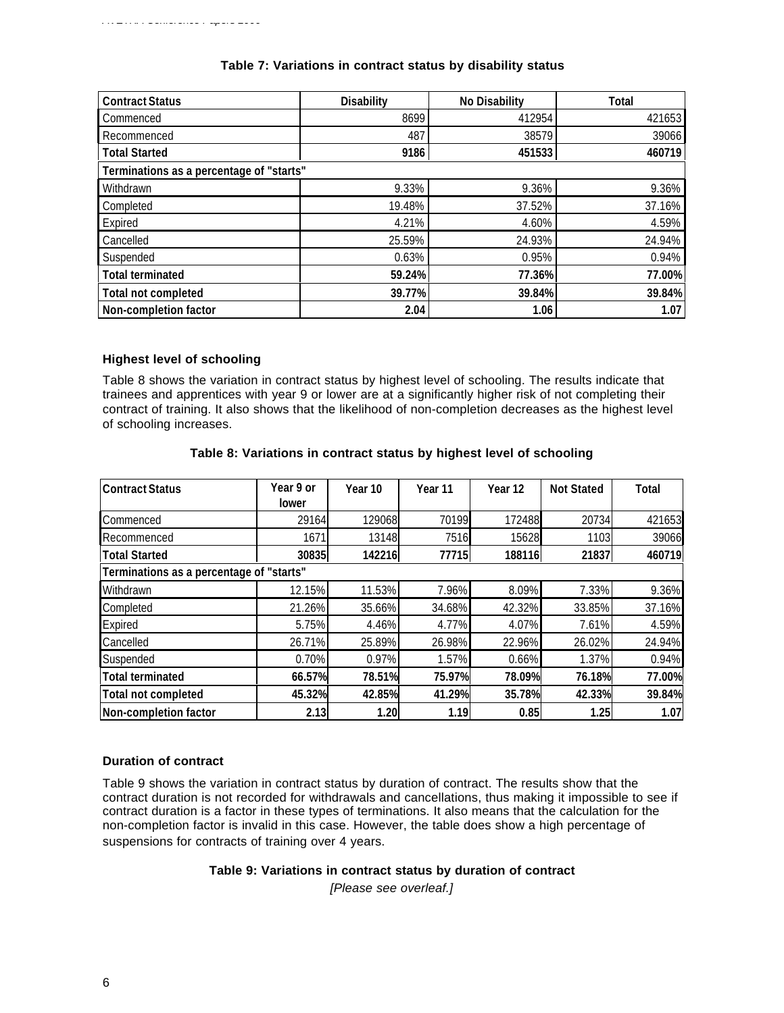| <b>Contract Status</b>                   | <b>Disability</b> | <b>No Disability</b> | <b>Total</b> |
|------------------------------------------|-------------------|----------------------|--------------|
| Commenced                                | 8699              | 412954               | 421653       |
| Recommenced                              | 487               | 38579                | 39066        |
| <b>Total Started</b>                     | 9186              | 451533               | 460719       |
| Terminations as a percentage of "starts" |                   |                      |              |
| Withdrawn                                | 9.33%             | 9.36%                | 9.36%        |
| Completed                                | 19.48%            | 37.52%               | 37.16%       |
| Expired                                  | 4.21%             | 4.60%                | 4.59%        |
| Cancelled                                | 25.59%            | 24.93%               | 24.94%       |
| Suspended                                | 0.63%             | 0.95%                | 0.94%        |
| <b>Total terminated</b>                  | 59.24%            | 77.36%               | 77.00%       |
| <b>Total not completed</b>               | 39.77%            | 39.84%               | 39.84%       |
| Non-completion factor                    | 2.04              | 1.06                 | 1.07         |

#### **Table 7: Variations in contract status by disability status**

#### **Highest level of schooling**

Table 8 shows the variation in contract status by highest level of schooling. The results indicate that trainees and apprentices with year 9 or lower are at a significantly higher risk of not completing their contract of training. It also shows that the likelihood of non-completion decreases as the highest level of schooling increases.

| <b>Contract Status</b>                   | Year 9 or<br>lower | Year 10 | Year 11 | Year 12 | <b>Not Stated</b> | <b>Total</b> |
|------------------------------------------|--------------------|---------|---------|---------|-------------------|--------------|
| Commenced                                | 29164              | 129068  | 70199   | 172488  | 20734             | 421653       |
| Recommenced                              | 1671               | 13148   | 7516    | 15628   | 1103              | 39066        |
| <b>Total Started</b>                     | 30835              | 142216  | 77715   | 188116  | 21837             | 460719       |
| Terminations as a percentage of "starts" |                    |         |         |         |                   |              |
| Withdrawn                                | 12.15%             | 11.53%  | 7.96%   | 8.09%   | 7.33%             | 9.36%        |
| Completed                                | 21.26%             | 35.66%  | 34.68%  | 42.32%  | 33.85%            | 37.16%       |
| Expired                                  | 5.75%              | 4.46%   | 4.77%   | 4.07%   | 7.61%             | 4.59%        |
| Cancelled                                | 26.71%             | 25.89%  | 26.98%  | 22.96%  | 26.02%            | 24.94%       |
| Suspended                                | 0.70%              | 0.97%   | 1.57%   | 0.66%   | 1.37%             | 0.94%        |
| <b>Total terminated</b>                  | 66.57%             | 78.51%  | 75.97%  | 78.09%  | 76.18%            | 77.00%       |
| <b>Total not completed</b>               | 45.32%             | 42.85%  | 41.29%  | 35.78%  | 42.33%            | 39.84%       |
| Non-completion factor                    | 2.13               | 1.20    | 1.19    | 0.85    | 1.25              | 1.07         |

#### **Table 8: Variations in contract status by highest level of schooling**

#### **Duration of contract**

Table 9 shows the variation in contract status by duration of contract. The results show that the contract duration is not recorded for withdrawals and cancellations, thus making it impossible to see if contract duration is a factor in these types of terminations. It also means that the calculation for the non-completion factor is invalid in this case. However, the table does show a high percentage of suspensions for contracts of training over 4 years.

#### **Table 9: Variations in contract status by duration of contract**

*[Please see overleaf.]*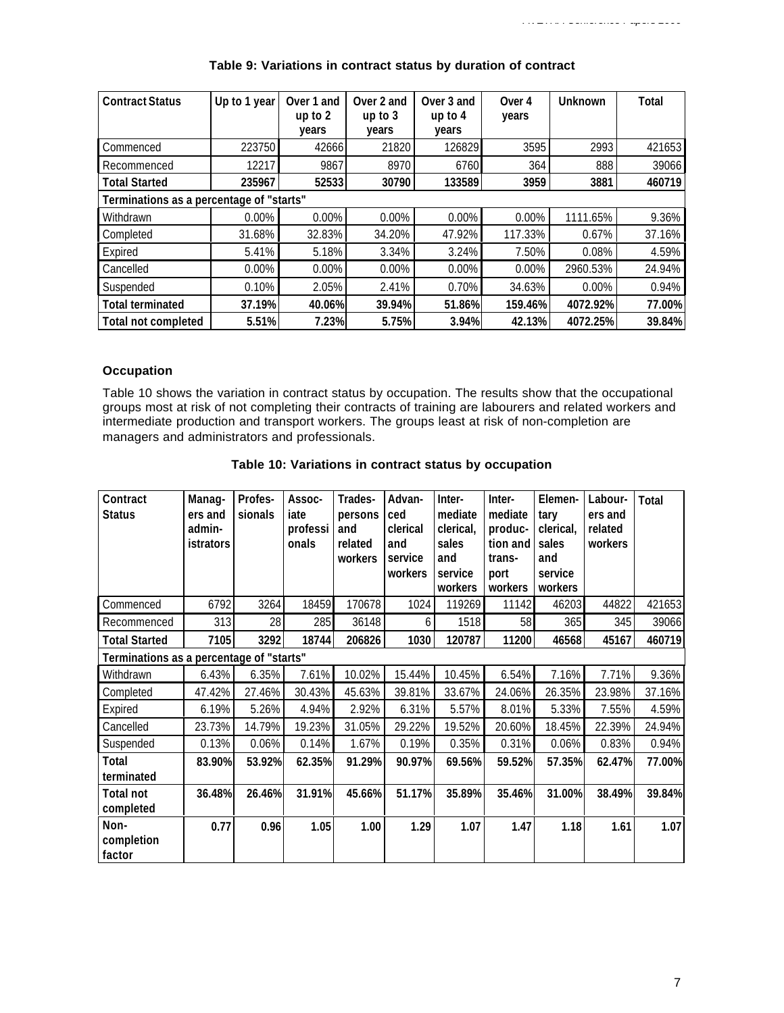| <b>Contract Status</b>                   | Up to 1 year | Over 1 and<br>up to $2$ | Over 2 and<br>up to $3$ | Over 3 and<br>up to $4$ | Over 4<br>years | <b>Unknown</b> | <b>Total</b> |
|------------------------------------------|--------------|-------------------------|-------------------------|-------------------------|-----------------|----------------|--------------|
|                                          |              | years                   | years                   | years                   |                 |                |              |
| Commenced                                | 223750       | 42666                   | 21820                   | 126829                  | 3595            | 2993           | 421653       |
| Recommenced                              | 12217        | 9867                    | 8970                    | 6760                    | 364             | 888            | 39066        |
| <b>Total Started</b>                     | 235967       | 52533                   | 30790                   | 133589                  | 3959            | 3881           | 460719       |
| Terminations as a percentage of "starts" |              |                         |                         |                         |                 |                |              |
| Withdrawn                                | 0.00%        | 0.00%                   | 0.00%                   | $0.00\%$                | 0.00%           | 1111.65%       | 9.36%        |
| Completed                                | 31.68%       | 32.83%                  | 34.20%                  | 47.92%                  | 117.33%         | 0.67%          | 37.16%       |
| Expired                                  | 5.41%        | 5.18%                   | 3.34%                   | 3.24%                   | 7.50%           | 0.08%          | 4.59%        |
| Cancelled                                | $0.00\%$     | 0.00%                   | $0.00\%$                | $0.00\%$                | $0.00\%$        | 2960.53%       | 24.94%       |
| Suspended                                | 0.10%        | 2.05%                   | 2.41%                   | 0.70%                   | 34.63%          | $0.00\%$       | 0.94%        |
| <b>Total terminated</b>                  | 37.19%       | 40.06%                  | 39.94%                  | 51.86%                  | 159.46%         | 4072.92%       | 77.00%       |
| Total not completed                      | 5.51%        | 7.23%                   | 5.75%                   | 3.94%                   | 42.13%          | 4072.25%       | 39.84%       |

## **Table 9: Variations in contract status by duration of contract**

## **Occupation**

Table 10 shows the variation in contract status by occupation. The results show that the occupational groups most at risk of not completing their contracts of training are labourers and related workers and intermediate production and transport workers. The groups least at risk of non-completion are managers and administrators and professionals.

| Contract<br><b>Status</b>                | Manag-<br>ers and<br>admin-<br><b>istrators</b> | Profes-<br>sionals | Assoc-<br>iate<br>professi<br>onals | Trades-<br>persons<br>and<br>related<br>workers | Advan-<br>ced<br>clerical<br>and<br>service<br>workers | Inter-<br>mediate<br>clerical,<br>sales<br>and<br>service<br>workers | Inter-<br>mediate<br>produc-<br>tion and<br>trans-<br>port<br>workers | Elemen-<br>tary<br>clerical,<br>sales<br>and<br>service<br>workers | Labour-<br>ers and<br>related<br>workers | Total  |
|------------------------------------------|-------------------------------------------------|--------------------|-------------------------------------|-------------------------------------------------|--------------------------------------------------------|----------------------------------------------------------------------|-----------------------------------------------------------------------|--------------------------------------------------------------------|------------------------------------------|--------|
| Commenced                                | 6792                                            | 3264               | 18459                               | 170678                                          | 1024                                                   | 119269                                                               | 11142                                                                 | 46203                                                              | 44822                                    | 421653 |
| Recommenced                              | 313                                             | 28                 | 285                                 | 36148                                           | 6                                                      | 1518                                                                 | 58                                                                    | 365                                                                | 345                                      | 39066  |
| <b>Total Started</b>                     | 7105                                            | 3292               | 18744                               | 206826                                          | 1030                                                   | 120787                                                               | 11200                                                                 | 46568                                                              | 45167                                    | 460719 |
| Terminations as a percentage of "starts" |                                                 |                    |                                     |                                                 |                                                        |                                                                      |                                                                       |                                                                    |                                          |        |
| Withdrawn                                | 6.43%                                           | 6.35%              | 7.61%                               | 10.02%                                          | 15.44%                                                 | 10.45%                                                               | 6.54%                                                                 | 7.16%                                                              | 7.71%                                    | 9.36%  |
| Completed                                | 47.42%                                          | 27.46%             | 30.43%                              | 45.63%                                          | 39.81%                                                 | 33.67%                                                               | 24.06%                                                                | 26.35%                                                             | 23.98%                                   | 37.16% |
| Expired                                  | 6.19%                                           | 5.26%              | 4.94%                               | 2.92%                                           | 6.31%                                                  | 5.57%                                                                | 8.01%                                                                 | 5.33%                                                              | 7.55%                                    | 4.59%  |
| Cancelled                                | 23.73%                                          | 14.79%             | 19.23%                              | 31.05%                                          | 29.22%                                                 | 19.52%                                                               | 20.60%                                                                | 18.45%                                                             | 22.39%                                   | 24.94% |
| Suspended                                | 0.13%                                           | 0.06%              | 0.14%                               | 1.67%                                           | 0.19%                                                  | 0.35%                                                                | 0.31%                                                                 | 0.06%                                                              | 0.83%                                    | 0.94%  |
| Total<br>terminated                      | 83.90%                                          | 53.92%             | 62.35%                              | 91.29%                                          | 90.97%                                                 | 69.56%                                                               | 59.52%                                                                | 57.35%                                                             | 62.47%                                   | 77.00% |
| <b>Total not</b><br>completed            | 36.48%                                          | 26.46%             | 31.91%                              | 45.66%                                          | 51.17%                                                 | 35.89%                                                               | 35.46%                                                                | 31.00%                                                             | 38.49%                                   | 39.84% |
| Non-<br>completion<br>factor             | 0.77                                            | 0.96               | 1.05                                | 1.00                                            | 1.29                                                   | 1.07                                                                 | 1.47                                                                  | 1.18                                                               | 1.61                                     | 1.07   |

#### **Table 10: Variations in contract status by occupation**